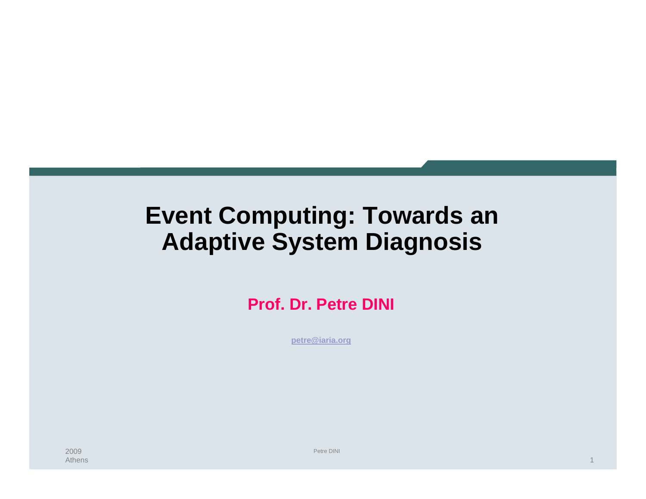### **Event Computing: Towards an Adaptive System Diagnosis**

**Prof. Dr. Petre DINI**

**petre@iaria.org**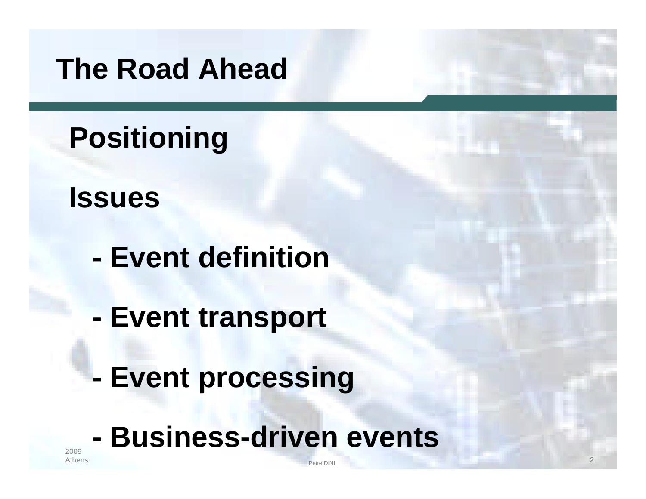# **The Road Ahead**

**Positioning**

**Issues**

- **- Event definition**
- **- Event transport**
- **- Event processing**

# **- Business-driven events**

etre DINI and the contract of the contract of the contract of the contract of the contract of the contract of the contract of the contract of the contract of the contract of the contract of the contract of the contract of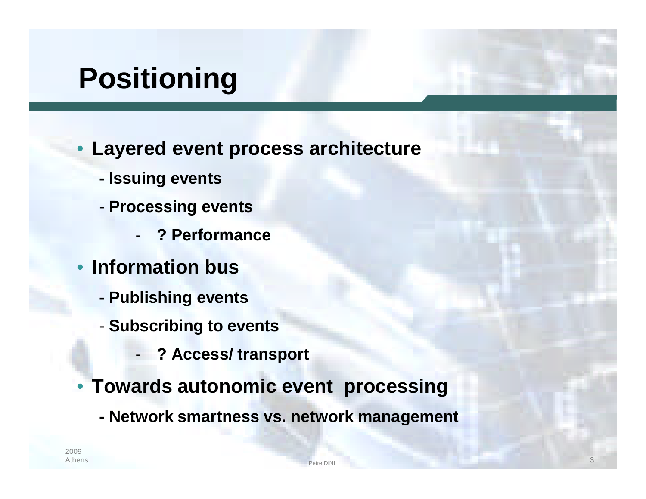# **Positioning**

- **Layered event process architecture**
	- **- Issuing events**
	- **Processing events**
		- **? Performance**
- **Information bus**
	- **- Publishing events**
	- **Subscribing to events**
		- **? Access/ transport**
- **Towards autonomic event processing**
	- **- Network smartness vs. network management**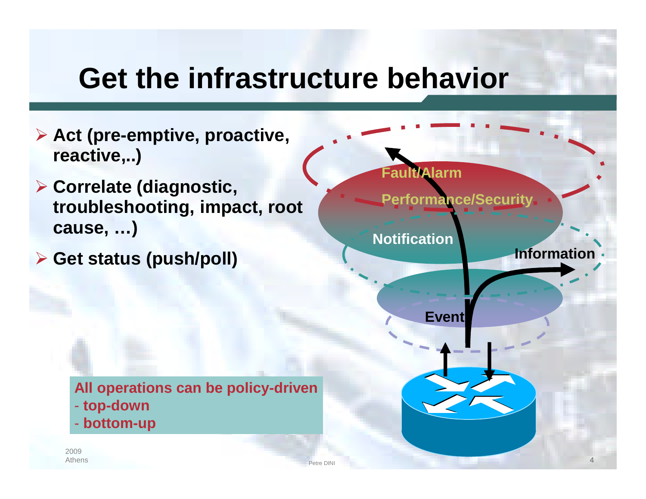## **Get the infrastructure behavior**

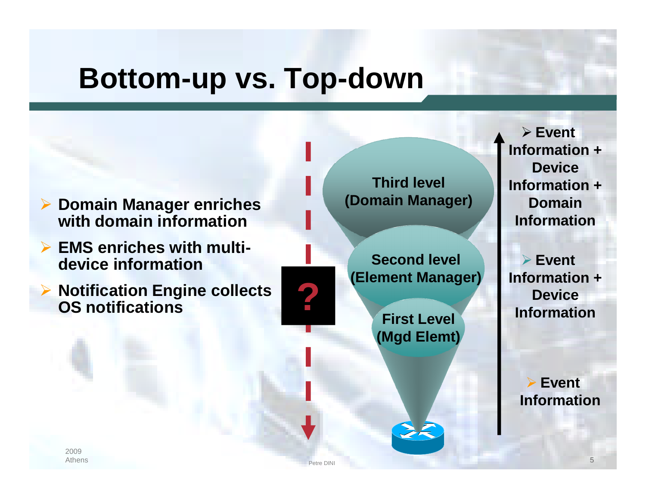## **Bottom-up vs. Top-down**



- **EMS enriches with multidevice information**
- **Notification Engine collects OS notifications**

**Third level (Domain Manager)**

**Second level (Element Manager)**

> **First Level (Mgd Elemt)**

etre DINI **1999 - Petre DINI 1999 - Petre DINI 1999 - Petre DINI 1999 - Petre DINI 1999 - Petre DINI 1999 - P**et

 **Event Information + Device Information + Domain Information**

 **Event Information + Particular Property Served Access 2014**<br> **Device Information** 

> **Event Information**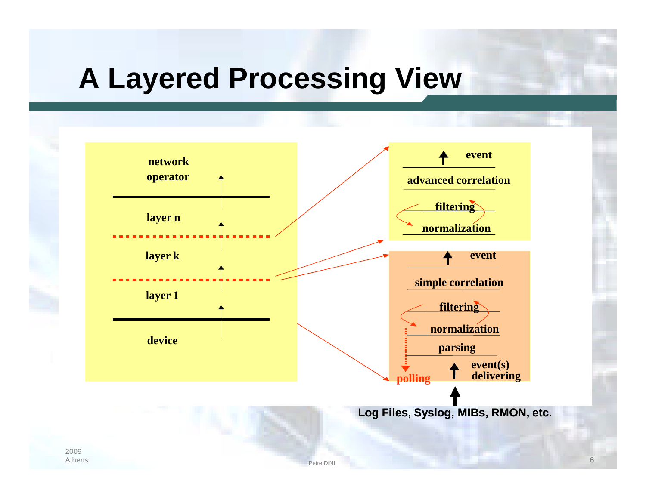# **A Layered Processing View**

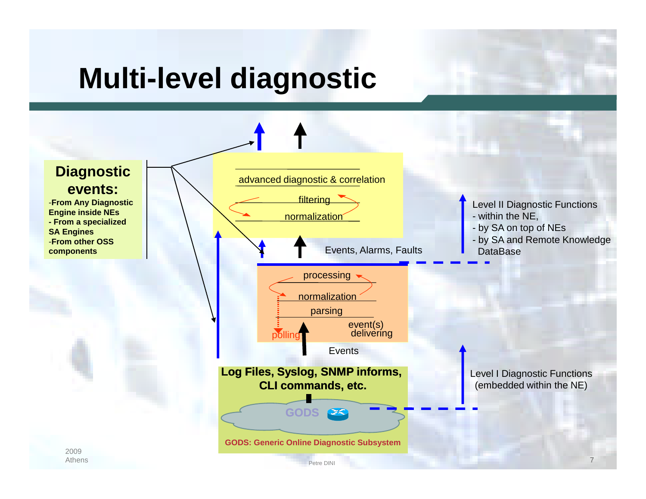# **Multi-level diagnostic**

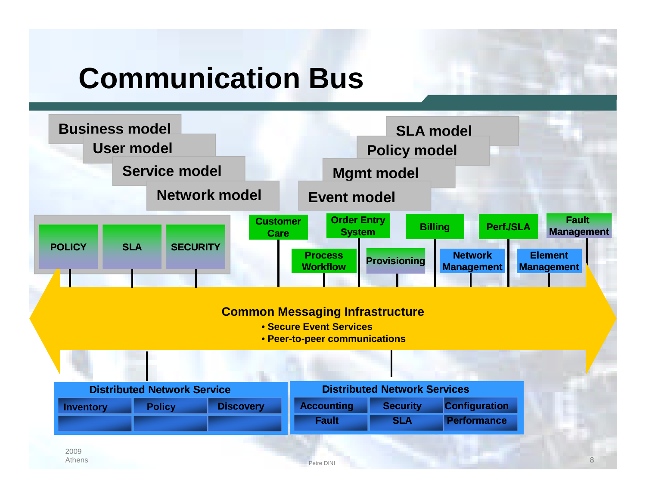# **Communication Bus**

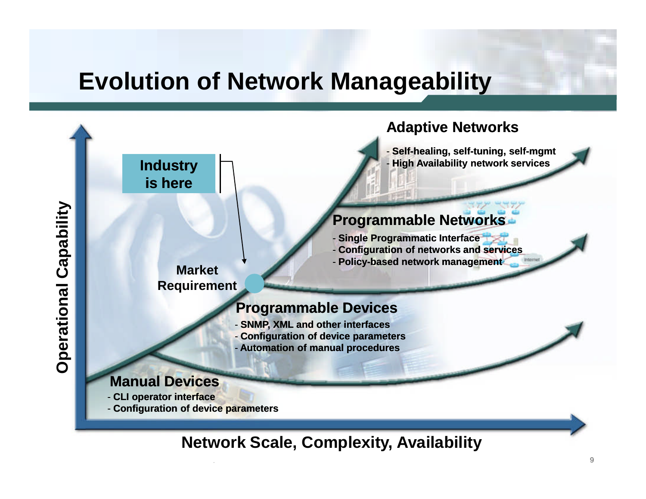#### **Evolution of Network Manageability**



#### **Network Scale, Complexity, Availability**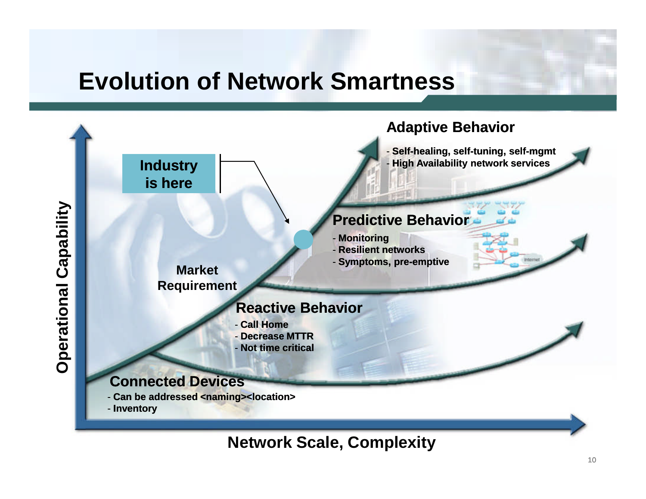#### **Evolution of Network Smartness**



**Network Scale, Complexity**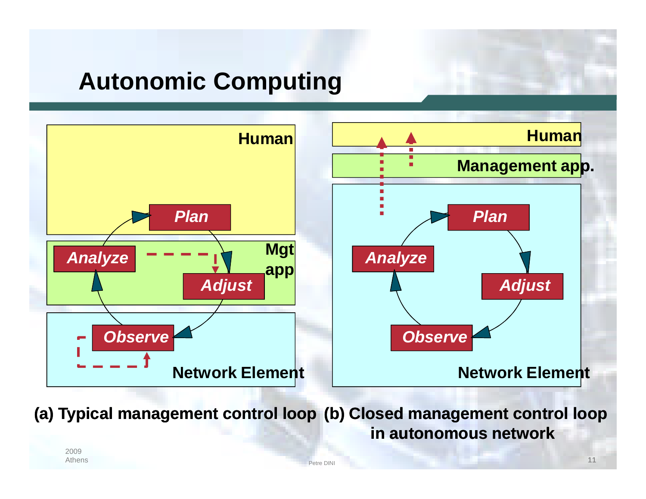### **Autonomic Computing**



**(a) Typical management control loop (b) Closed management control loop in autonomous network**

etre DINI and the contract of the contract of the contract of the contract of the contract of the contract of the contract of the contract of the contract of the contract of the contract of the contract of the contract of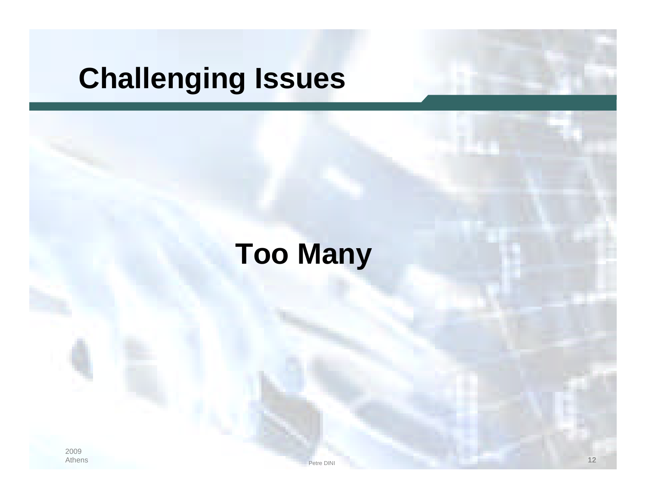# **Challenging Issues**

# **Too Many**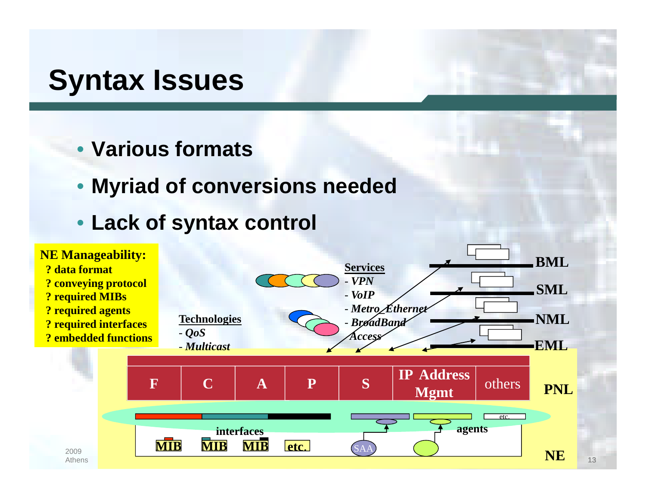## **Syntax Issues**

- **Various formats**
- **Myriad of conversions needed**
- **Lack of syntax control**

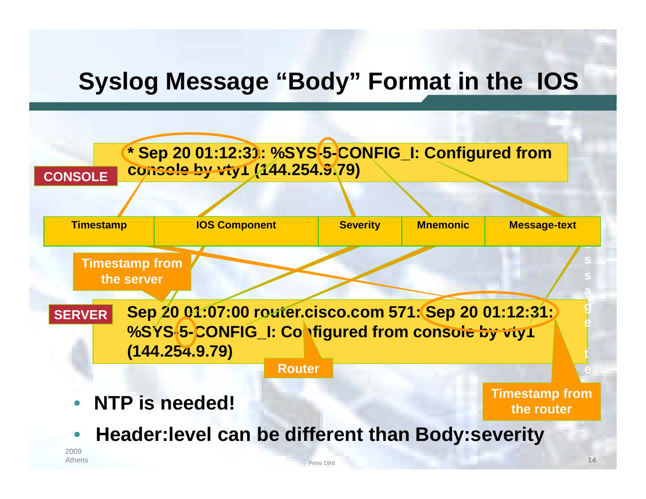### **Syslog Message "Body" Format in the IOS**

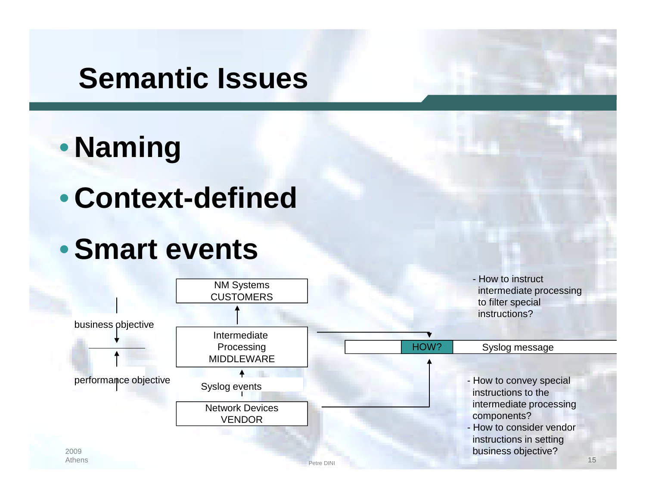# **Semantic Issues**



• **Context-defined**

## •**Smart events**

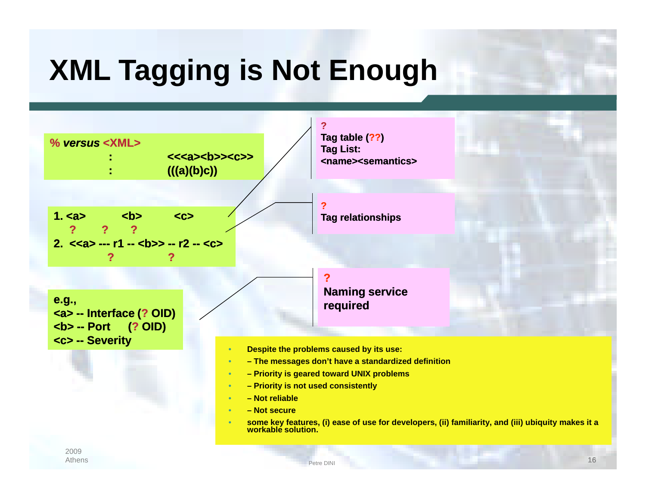# **XML Tagging is Not Enough**

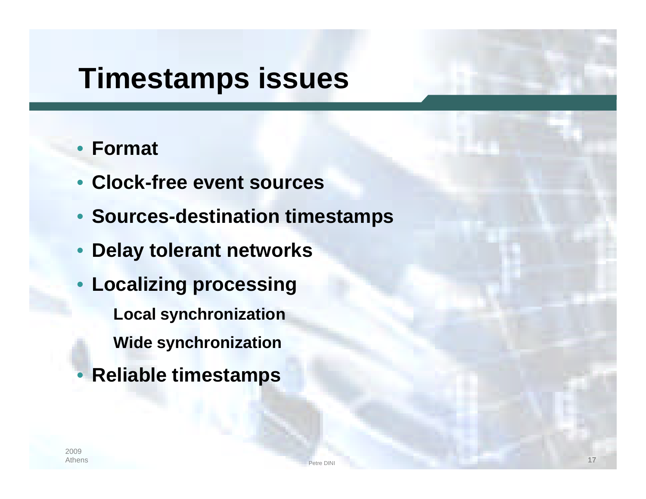## **Timestamps issues**

#### • **Format**

- **Clock-free event sources**
- **Sources-destination timestamps**
- **Delay tolerant networks**
- **Localizing processing Local synchronization Wide synchronization**
- **Reliable timestamps**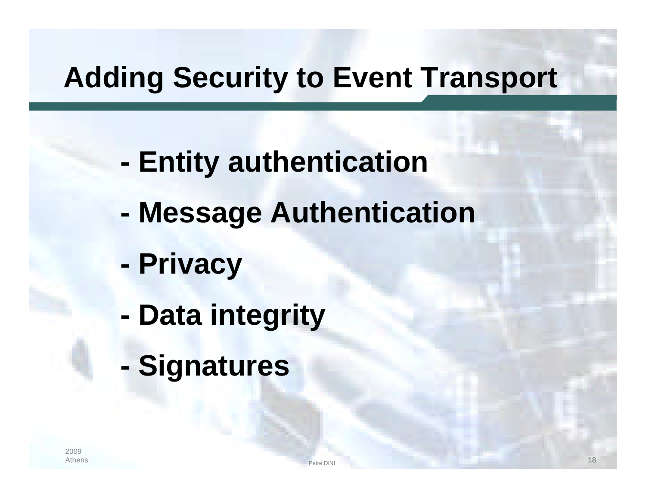# **Adding Security to Event Transport**

- **- Entity authentication**
- **- Message Authentication**
- **- Privacy**
- **- Data integrity**
- **- Signatures**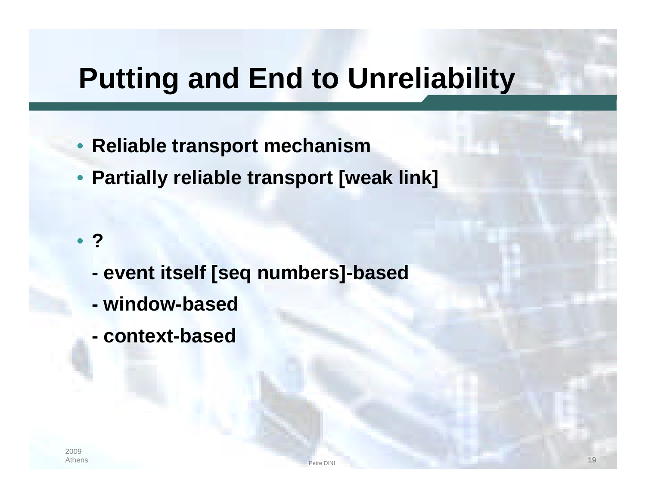# **Putting and End to Unreliability**

- **Reliable transport mechanism**
- **Partially reliable transport [weak link]**

• **?**

- **- event itself [seq numbers]-based**
- **- window-based**
- **- context-based**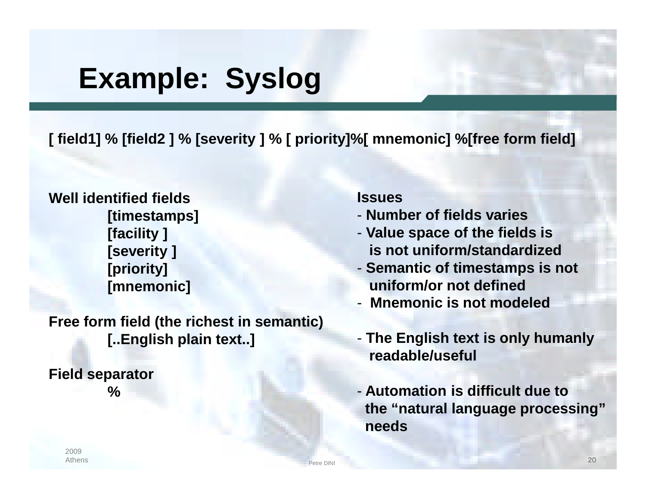# **Example: Syslog**

**[ field1] % [field2 ] % [severity ] % [ priority]%[ mnemonic] %[free form field]**

**Well identified fields [timestamps] [facility ] [severity ] [priority] [mnemonic]**

**Free form field (the richest in semantic) [..English plain text..]**

**Field separator %**

#### **Issues**

- **Number of fields varies**
- **Value space of the fields is is not uniform/standardized**
- **Semantic of timestamps is not uniform/or not defined**
- **Mnemonic is not modeled**
- **The English text is only humanly readable/useful**
- **Automation is difficult due to the "natural language processing" needs**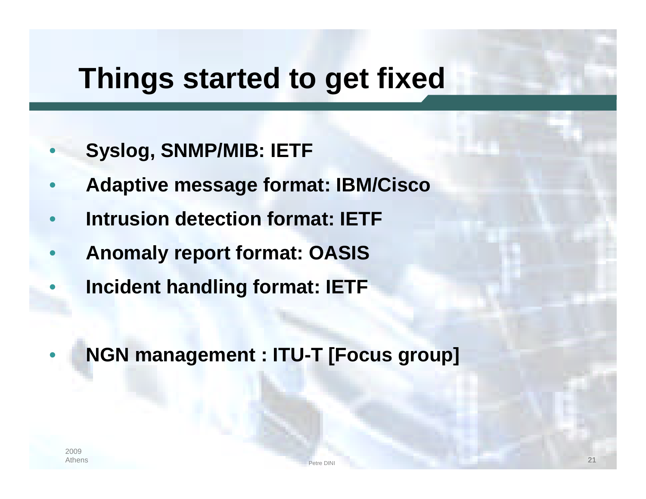# **Things started to get fixed**

- **Syslog, SNMP/MIB: IETF**
- **Adaptive message format: IBM/Cisco**
- **Intrusion detection format: IETF**
- **Anomaly report format: OASIS**
- **Incident handling format: IETF**
	- **NGN management : ITU-T [Focus group]**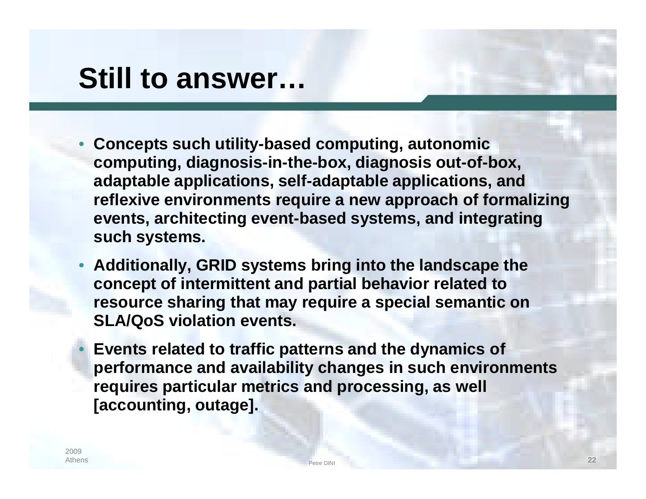## **Still to answer…**

- **Concepts such utility-based computing, autonomic computing, diagnosis-in-the-box, diagnosis out-of-box, adaptable applications, self-adaptable applications, and reflexive environments require a new approach of formalizing events, architecting event-based systems, and integrating such systems.**
- **Additionally, GRID systems bring into the landscape the concept of intermittent and partial behavior related to resource sharing that may require a special semantic on SLA/QoS violation events.**
	- **Events related to traffic patterns and the dynamics of performance and availability changes in such environments requires particular metrics and processing, as well [accounting, outage].**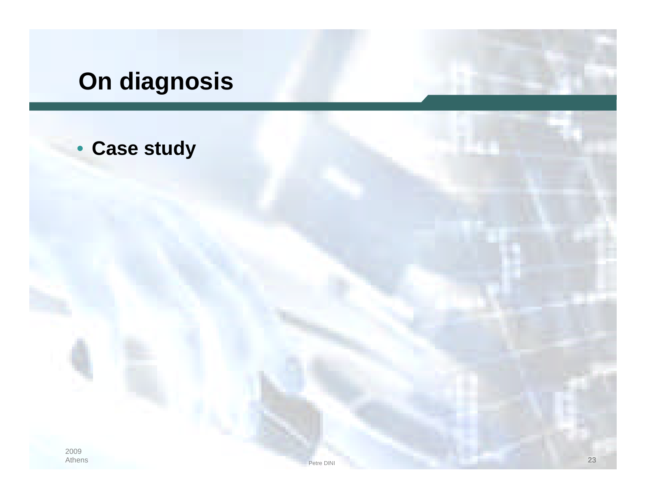## **On diagnosis**

#### • **Case study**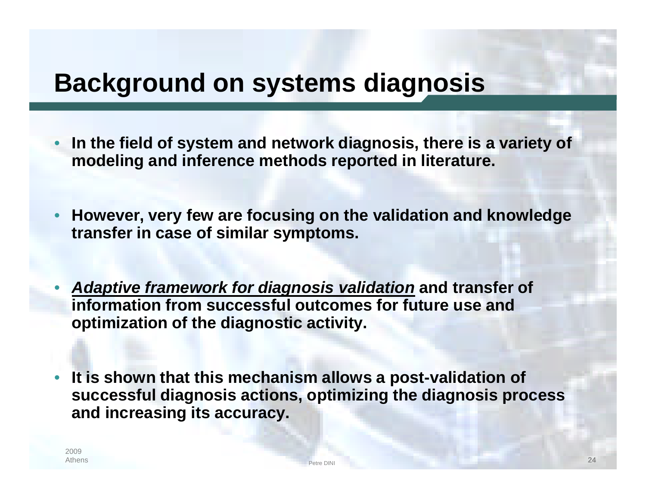### **Background on systems diagnosis**

- **In the field of system and network diagnosis, there is a variety of modeling and inference methods reported in literature.**
- **However, very few are focusing on the validation and knowledge transfer in case of similar symptoms.**
- *Adaptive framework for diagnosis validation* **and transfer of information from successful outcomes for future use and optimization of the diagnostic activity.**
- **It is shown that this mechanism allows a post-validation of successful diagnosis actions, optimizing the diagnosis process and increasing its accuracy.**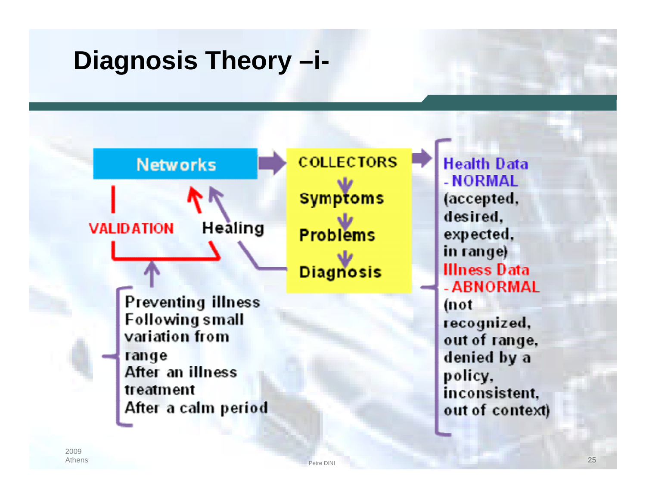## **Diagnosis Theory –i-**

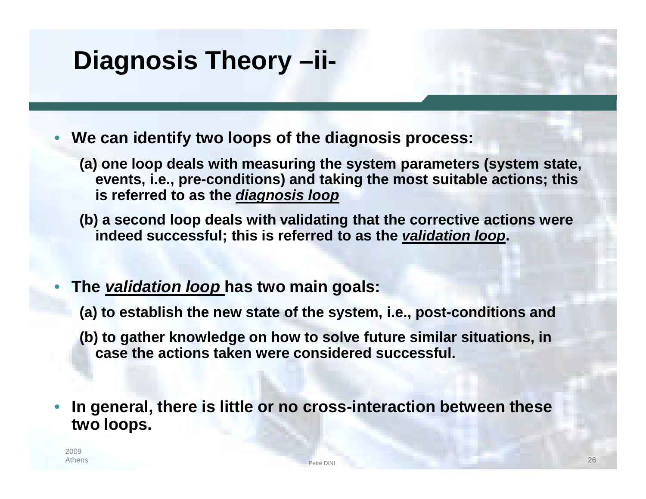## **Diagnosis Theory –ii-**

• **We can identify two loops of the diagnosis process:**

- **(a) one loop deals with measuring the system parameters (system state, events, i.e., pre-conditions) and taking the most suitable actions; this is referred to as the** *diagnosis loop*
- **(b) a second loop deals with validating that the corrective actions were indeed successful; this is referred to as the** *validation loop***.**
- **The** *validation loop* **has two main goals:**
	- **(a) to establish the new state of the system, i.e., post-conditions and**
	- **(b) to gather knowledge on how to solve future similar situations, in case the actions taken were considered successful.**
- **In general, there is little or no cross-interaction between these two loops.**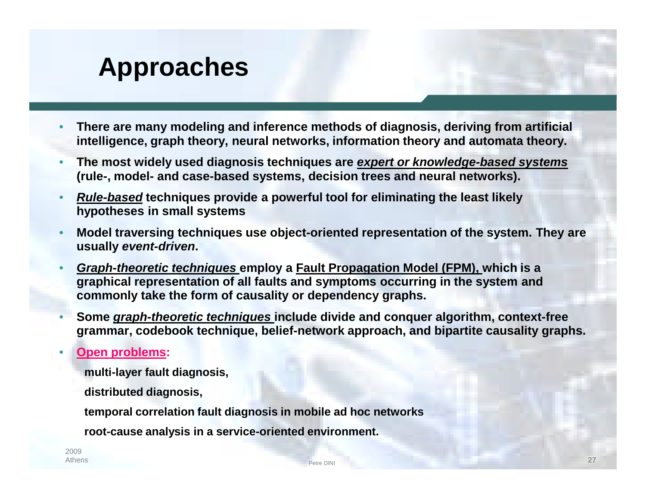## **Approaches**

- **There are many modeling and inference methods of diagnosis, deriving from artificial intelligence, graph theory, neural networks, information theory and automata theory.**
- **The most widely used diagnosis techniques are** *expert or knowledge-based systems* **(rule-, model- and case-based systems, decision trees and neural networks).**
- *Rule-based* **techniques provide a powerful tool for eliminating the least likely hypotheses in small systems**
- **Model traversing techniques use object-oriented representation of the system. They are usually** *event-driven***.**
- *Graph-theoretic techniques* **employ a Fault Propagation Model (FPM), which is a graphical representation of all faults and symptoms occurring in the system and commonly take the form of causality or dependency graphs.**
- **Some** *graph-theoretic techniques* **include divide and conquer algorithm, context-free grammar, codebook technique, belief-network approach, and bipartite causality graphs.**
- **Open problems:**
	- **multi-layer fault diagnosis,**
	- **distributed diagnosis,**
	- **temporal correlation fault diagnosis in mobile ad hoc networks**
	- **root-cause analysis in a service-oriented environment.**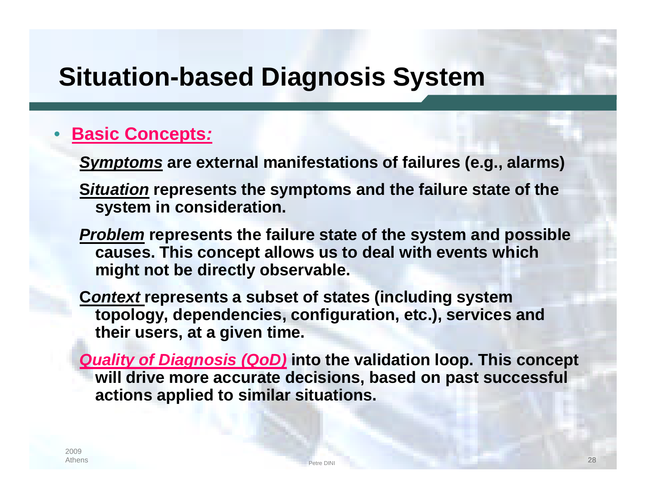### **Situation-based Diagnosis System**

#### • **Basic Concepts***:*

*Symptoms* **are external manifestations of failures (e.g., alarms)**

- **S***ituation* **represents the symptoms and the failure state of the system in consideration.**
- *Problem* **represents the failure state of the system and possible causes. This concept allows us to deal with events which might not be directly observable.**
- **C***ontext* **represents a subset of states (including system topology, dependencies, configuration, etc.), services and their users, at a given time.**

*Quality of Diagnosis (QoD)* **into the validation loop. This concept will drive more accurate decisions, based on past successful actions applied to similar situations.**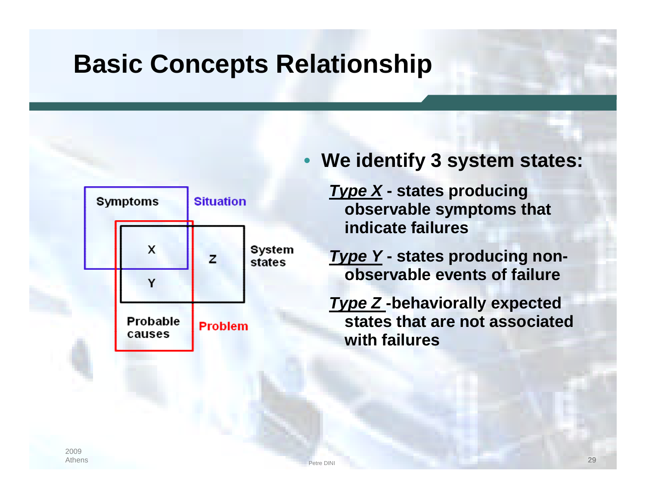## **Basic Concepts Relationship**



#### • **We identify 3 system states:**

*Type X* **- states producing observable symptoms that indicate failures**

*Type Y* **- states producing nonobservable events of failure**

*Type Z* **-behaviorally expected states that are not associated with failures**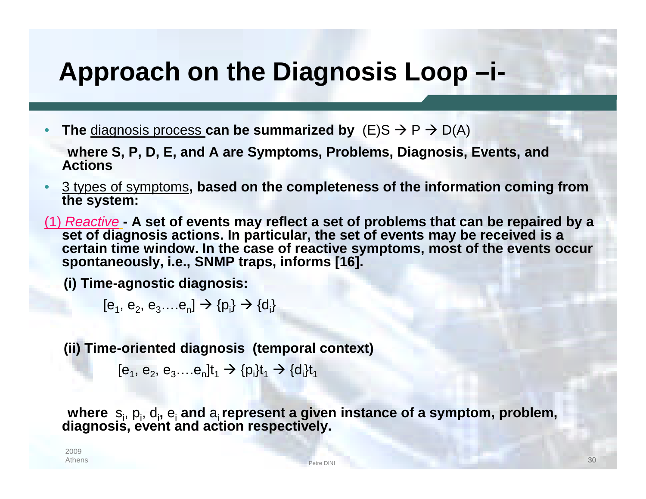### **Approach on the Diagnosis Loop –i-**

**The** diagnosis process **can be summarized by**  $(E)S \rightarrow P \rightarrow D(A)$ 

**where S, P, D, E, and A are Symptoms, Problems, Diagnosis, Events, and Actions**

- 3 types of symptoms**, based on the completeness of the information coming from the system:**
- (1) *Reactive* **- A set of events may reflect a set of problems that can be repaired by a set of diagnosis actions. In particular, the set of events may be received is a certain time window. In the case of reactive symptoms, most of the events occur spontaneously, i.e., SNMP traps, informs [16].**

**(i) Time-agnostic diagnosis:**

 $[e_1, e_2, e_3, \ldots e_n] \to \{p_i\} \to \{d_i\}$ 

**(ii) Time-oriented diagnosis (temporal context)**

 $[e_1, e_2, e_3$ .... $e_n]$ t<sub>1</sub>  $\rightarrow$  {p<sub>i</sub>}t<sub>1</sub>  $\rightarrow$  {d<sub>i</sub>}t<sub>1</sub>

where  $s_i$ ,  $p_i$ ,  $d_i$ ,  $e_i$  and  $a_i$  represent a given instance of a symptom, problem, **diagnosis, event and action respectively.**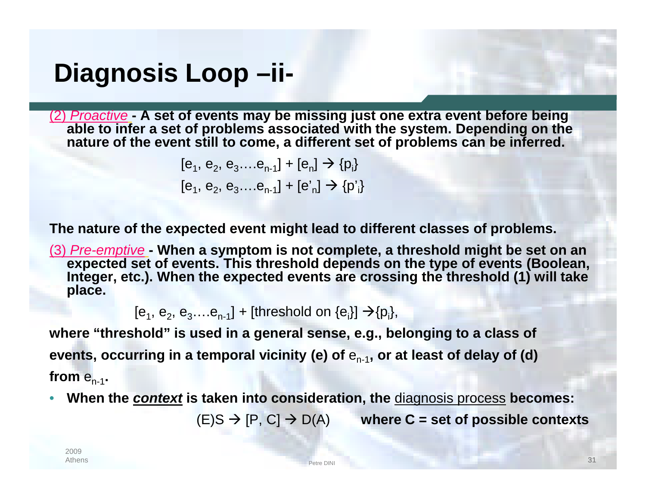### **Diagnosis Loop –ii-**

(2) *Proactive* **- A set of events may be missing just one extra event before being able to infer a set of problems associated with the system. Depending on the nature of the event still to come, a different set of problems can be inferred.**

$$
[e_1, e_2, e_3...e_{n-1}] + [e_n] \rightarrow \{p_i\}
$$
  

$$
[e_1, e_2, e_3...e_{n-1}] + [e'_n] \rightarrow \{p'_i\}
$$

**The nature of the expected event might lead to different classes of problems.**

(3) *Pre-emptive* **- When a symptom is not complete, a threshold might be set on an expected set of events. This threshold depends on the type of events (Boolean, Integer, etc.). When the expected events are crossing the threshold (1) will take place.**

 $[e_1, e_2, e_3, \ldots e_{n-1}]$  + [threshold on  $\{e_i\}$ ]  $\rightarrow$  {p<sub>i</sub>},

**where "threshold" is used in a general sense, e.g., belonging to a class of** events, occurring in a temporal vicinity (e) of  $\mathsf{e}_{_{\sf n\text{-}1}}$ , or at least of delay of (d)  ${\sf from\ e}_{\sf n\text{-}1}$ .

• **When the** *context* **is taken into consideration, the** diagnosis process **becomes:**

 $(E)S \rightarrow [P, C] \rightarrow D(A)$  where C = set of possible contexts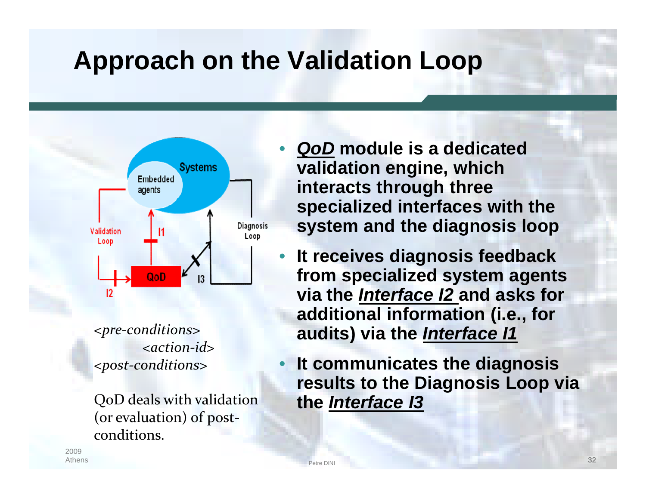## **Approach on the Validation Loop**



*<pre-conditions> <action-id> <post-conditions>*

QoD deals with validation (or evaluation) of postconditions.

- *QoD* **module is a dedicated validation engine, which interacts through three specialized interfaces with the system and the diagnosis loop**
- **It receives diagnosis feedback from specialized system agents via the** *Interface I2* **and asks for additional information (i.e., for audits) via the** *Interface I1*
- **It communicates the diagnosis results to the Diagnosis Loop via the** *Interface I3*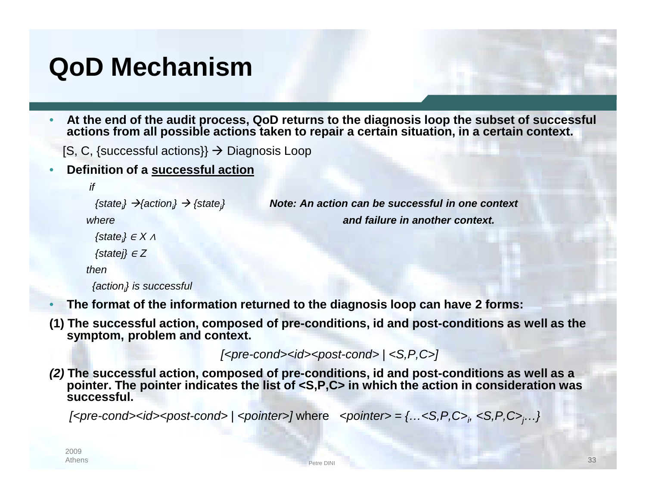## **QoD Mechanism**

• **At the end of the audit process, QoD returns to the diagnosis loop the subset of successful actions from all possible actions taken to repair a certain situation, in a certain context.**

*} Note: An action can be successful in one context*

 $[S, C,$  {successful actions}}  $\rightarrow$  Diagnosis Loop

• **Definition of a successful action**

```
if
```
*{state<sup>i</sup> } {action<sup>i</sup> } {state<sup>j</sup>*

*where and failure in another context.*

```
{statei
} ∈ X ∧
```
*{statej}* <sup>∈</sup> *Z*

```
then
```

```
{actioni
} is successful
```
• **The format of the information returned to the diagnosis loop can have 2 forms:**

**(1) The successful action, composed of pre-conditions, id and post-conditions as well as the symptom, problem and context.**

*[<pre-cond><id><post-cond> | <S,P,C>]*

*(2)* **The successful action, composed of pre-conditions, id and post-conditions as well as a pointer. The pointer indicates the list of <S,P,C> in which the action in consideration was successful.**

*[<pre-cond><id><post-cond> | <pointer>]* where *<pointer> = {…<S,P,C><sup>i</sup> , <S,P,C>j…}*

```
2009
Athens
```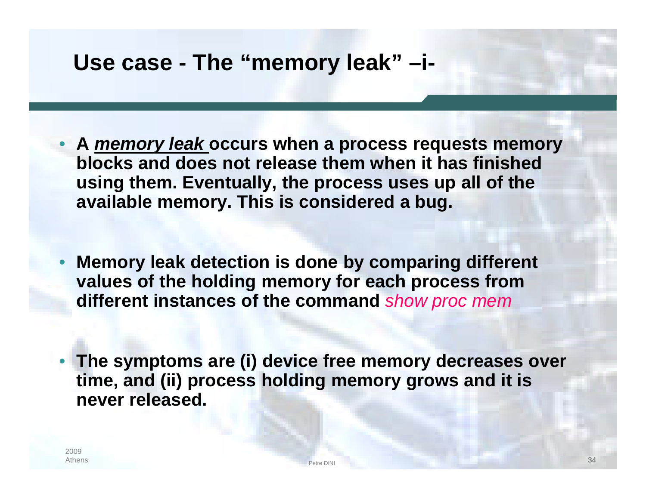#### **Use case - The "memory leak" –i-**

- **A** *memory leak* **occurs when a process requests memory blocks and does not release them when it has finished using them. Eventually, the process uses up all of the available memory. This is considered a bug.**
- **Memory leak detection is done by comparing different values of the holding memory for each process from different instances of the command** *show proc mem*
- **The symptoms are (i) device free memory decreases over time, and (ii) process holding memory grows and it is never released.**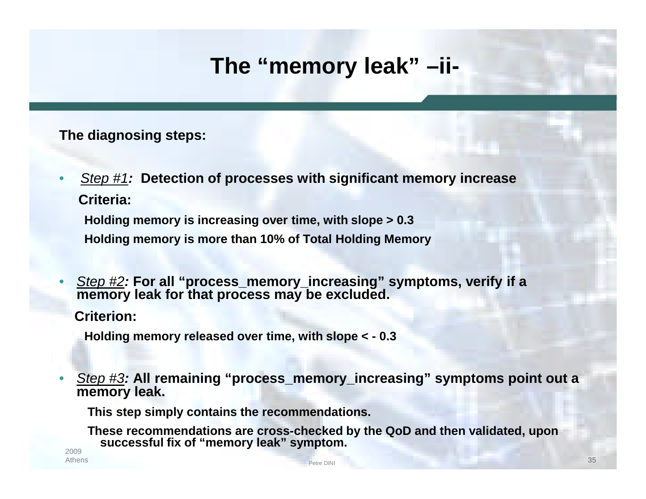### **The "memory leak" –ii-**

#### **The diagnosing steps:**

• *Step #1:* **Detection of processes with significant memory increase Criteria:**

**Holding memory is increasing over time, with slope > 0.3 Holding memory is more than 10% of Total Holding Memory**

• *Step #2:* **For all "process\_memory\_increasing" symptoms, verify if a memory leak for that process may be excluded.**

**Criterion:**

**Holding memory released over time, with slope < - 0.3**

• *Step #3:* **All remaining "process\_memory\_increasing" symptoms point out a memory leak.**

**This step simply contains the recommendations.**

**These recommendations are cross-checked by the QoD and then validated, upon successful fix of "memory leak" symptom.**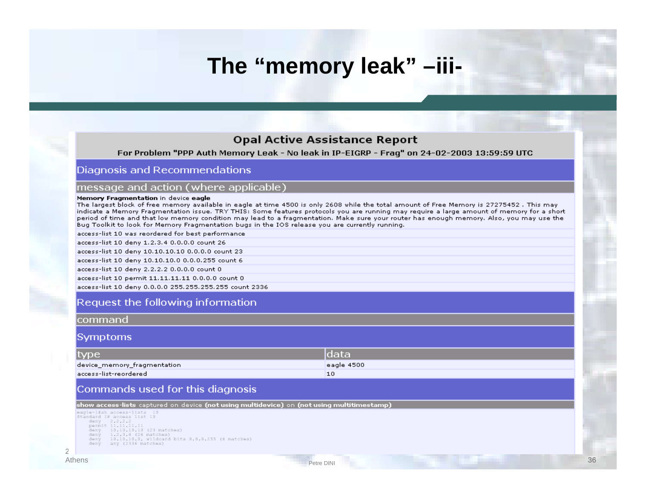#### **The "memory leak" –iii-**

#### **Opal Active Assistance Report**

For Problem "PPP Auth Memory Leak - No leak in IP-EIGRP - Frag" on 24-02-2003 13:59:59 UTC

#### Diagnosis and Recommendations

#### message and action (where applicable)

#### Memory Fragmentation in device eagle

The largest block of free memory available in eagle at time 4500 is only 2608 while the total amount of Free Memory is 27275452. This may indicate a Memory Fragmentation issue. TRY THIS: Some features protocols you are running may require a large amount of memory for a short period of time and that low memory condition may lead to a fragmentation. Make sure your router has enough memory. Also, you may use the Bug Toolkit to look for Memory Fragmentation bugs in the IOS release you are currently running.

access-list 10 was reordered for best performance

access-list 10 deny 1.2.3.4 0.0.0.0 count 26

access-list 10 deny 10.10.10.10 0.0.0.0 count 23

access-list 10 deny 10.10.10.0 0.0.0.255 count 6

access-list 10 deny 2.2.2.2 0.0.0.0 count 0

access-list 10 permit 11.11.11.11 0.0.0.0 count 0

access-list 10 deny 0.0.0.0 255.255.255.255 count 2336

#### Request the following information

#### command

#### **Symptoms**

| type                        | ldata      |
|-----------------------------|------------|
| device_memory_fragmentation | eagle 4500 |
| access-list-reordered       |            |

etre DINI and the contract of the contract of the contract of the contract of the contract of the contract of the contract of the contract of the contract of the contract of the contract of the contract of the contract of

#### Commands used for this diagnosis

show access-lists captured on device (not using multidevice) on (not using multitimestamp)

eagle-l#sh access-lists 18 Standard IP access list 18 deny 2.2.2.2<br>permit 11.11.11.11

- 
- seny 18.18.18.18 (23 matches)<br>deny 1.2.3.4 (26 matches)<br>deny 18.3.4 (26 matches)<br>deny 18.18.18.8, wildcard bits 8.8.8.255 (6 matches) deny any (2336 matches)

2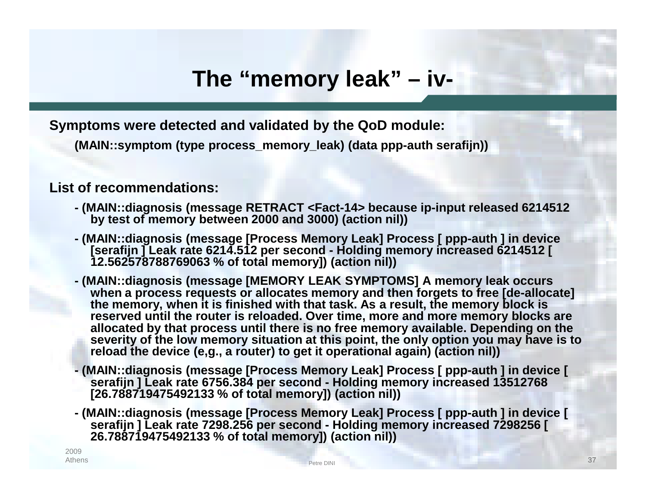#### **The "memory leak" – iv-**

**Symptoms were detected and validated by the QoD module:**

**(MAIN::symptom (type process\_memory\_leak) (data ppp-auth serafijn))**

#### **List of recommendations:**

- **- (MAIN::diagnosis (message RETRACT <Fact-14> because ip-input released 6214512 by test of memory between 2000 and 3000) (action nil))**
- **- (MAIN::diagnosis (message [Process Memory Leak] Process [ ppp-auth ] in device [serafijn ] Leak rate 6214.512 per second - Holding memory increased 6214512 [ 12.562578788769063 % of total memory]) (action nil))**
- **- (MAIN::diagnosis (message [MEMORY LEAK SYMPTOMS] A memory leak occurs when a process requests or allocates memory and then forgets to free [de-allocate] the memory, when it is finished with that task. As a result, the memory block is reserved until the router is reloaded. Over time, more and more memory blocks are allocated by that process until there is no free memory available. Depending on the severity of the low memory situation at this point, the only option you may have is to reload the device (e,g., a router) to get it operational again) (action nil))**
- **- (MAIN::diagnosis (message [Process Memory Leak] Process [ ppp-auth ] in device [ serafijn ] Leak rate 6756.384 per second - Holding memory increased 13512768 [26.788719475492133 % of total memory]) (action nil))**
- **- (MAIN::diagnosis (message [Process Memory Leak] Process [ ppp-auth ] in device [ serafijn ] Leak rate 7298.256 per second - Holding memory increased 7298256 [ 26.788719475492133 % of total memory]) (action nil))**